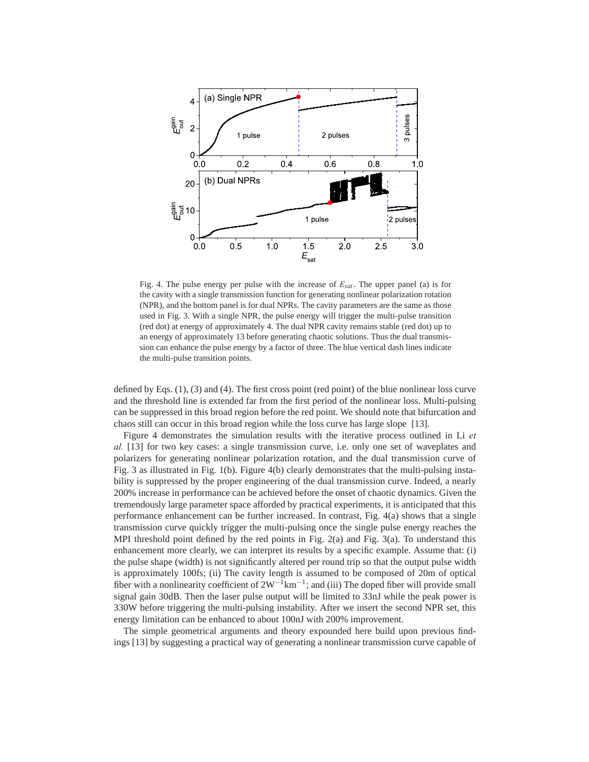

Fig. 4. The pulse energy per pulse with the increase of  $E_{sat}$ . The upper panel (a) is for the cavity with a single transmission function for generating nonlinear polarization rotation (NPR), and the bottom panel is for dual NPRs. The cavity parameters are the same as those used in Fig. 3. With a single NPR, the pulse energy will trigger the multi-pulse transition (red dot) at energy of approximately 4. The dual NPR cavity remains stable (red dot) up to an energy of approximately 13 before generating chaotic solutions. Thus the dual transmission can enhance the pulse energy by a factor of three. The blue vertical dash lines indicate the multi-pulse transition points.

defined by Eqs. (1), (3) and (4). The first cross point (red point) of the blue nonlinear loss curve and the threshold line is extended far from the first period of the nonlinear loss. Multi-pulsing can be suppressed in this broad region before the red point. We should note that bifurcation and chaos still can occur in this broad region while the loss curve has large slope [13].

Figure 4 demonstrates the simulation results with the iterative process outlined in Li *et al.* [13] for two key cases: a single transmission curve, i.e. only one set of waveplates and polarizers for generating nonlinear polarization rotation, and the dual transmission curve of Fig. 3 as illustrated in Fig. 1(b). Figure 4(b) clearly demonstrates that the multi-pulsing instability is suppressed by the proper engineering of the dual transmission curve. Indeed, a nearly 200% increase in performance can be achieved before the onset of chaotic dynamics. Given the tremendously large parameter space afforded by practical experiments, it is anticipated that this performance enhancement can be further increased. In contrast, Fig. 4(a) shows that a single transmission curve quickly trigger the multi-pulsing once the single pulse energy reaches the MPI threshold point defined by the red points in Fig. 2(a) and Fig. 3(a). To understand this enhancement more clearly, we can interpret its results by a specific example. Assume that: (i) the pulse shape (width) is not significantly altered per round trip so that the output pulse width is approximately 100fs; (ii) The cavity length is assumed to be composed of 20m of optical fiber with a nonlinearity coefficient of  $2W^{-1}km^{-1}$ ; and (iii) The doped fiber will provide small signal gain 30dB. Then the laser pulse output will be limited to 33nJ while the peak power is 330W before triggering the multi-pulsing instability. After we insert the second NPR set, this energy limitation can be enhanced to about 100nJ with 200% improvement.

The simple geometrical arguments and theory expounded here build upon previous findings [13] by suggesting a practical way of generating a nonlinear transmission curve capable of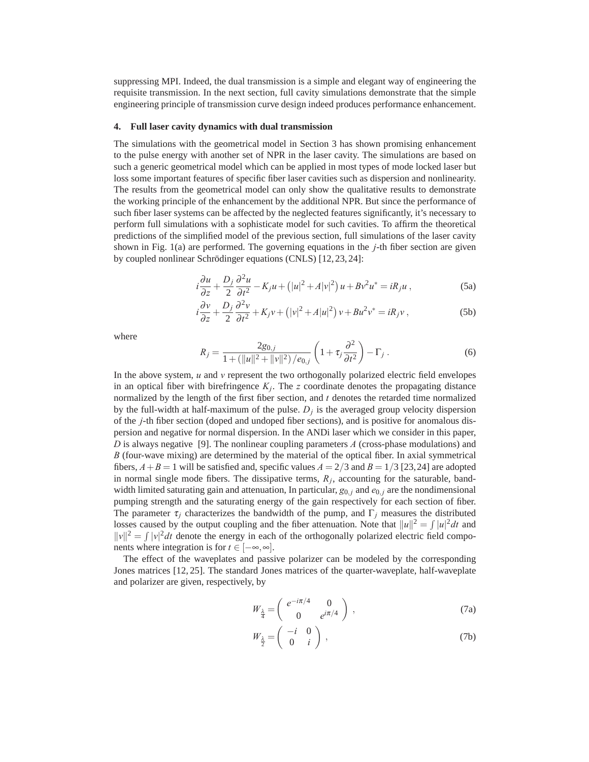suppressing MPI. Indeed, the dual transmission is a simple and elegant way of engineering the requisite transmission. In the next section, full cavity simulations demonstrate that the simple engineering principle of transmission curve design indeed produces performance enhancement.

## **4. Full laser cavity dynamics with dual transmission**

The simulations with the geometrical model in Section 3 has shown promising enhancement to the pulse energy with another set of NPR in the laser cavity. The simulations are based on such a generic geometrical model which can be applied in most types of mode locked laser but loss some important features of specific fiber laser cavities such as dispersion and nonlinearity. The results from the geometrical model can only show the qualitative results to demonstrate the working principle of the enhancement by the additional NPR. But since the performance of such fiber laser systems can be affected by the neglected features significantly, it's necessary to perform full simulations with a sophisticate model for such cavities. To affirm the theoretical predictions of the simplified model of the previous section, full simulations of the laser cavity shown in Fig. 1(a) are performed. The governing equations in the *j*-th fiber section are given by coupled nonlinear Schrödinger equations (CNLS) [12, 23, 24]:

$$
i\frac{\partial u}{\partial z} + \frac{D_j}{2}\frac{\partial^2 u}{\partial t^2} - K_j u + (|u|^2 + A|v|^2) u + Bv^2 u^* = iR_j u,
$$
 (5a)

$$
i\frac{\partial v}{\partial z} + \frac{D_j}{2}\frac{\partial^2 v}{\partial t^2} + K_j v + (|v|^2 + A|u|^2)v + Bu^2 v^* = iR_j v,
$$
 (5b)

where

$$
R_j = \frac{2g_{0,j}}{1 + (\|u\|^2 + \|v\|^2)/e_{0,j}} \left(1 + \tau_j \frac{\partial^2}{\partial t^2}\right) - \Gamma_j.
$$
 (6)

In the above system, *u* and *v* represent the two orthogonally polarized electric field envelopes in an optical fiber with birefringence  $K_i$ . The  $z$  coordinate denotes the propagating distance normalized by the length of the first fiber section, and *t* denotes the retarded time normalized by the full-width at half-maximum of the pulse.  $D_i$  is the averaged group velocity dispersion of the *j*-th fiber section (doped and undoped fiber sections), and is positive for anomalous dispersion and negative for normal dispersion. In the ANDi laser which we consider in this paper, *D* is always negative [9]. The nonlinear coupling parameters *A* (cross-phase modulations) and *B* (four-wave mixing) are determined by the material of the optical fiber. In axial symmetrical fibers,  $A + B = 1$  will be satisfied and, specific values  $A = 2/3$  and  $B = 1/3$  [23,24] are adopted in normal single mode fibers. The dissipative terms,  $R_j$ , accounting for the saturable, bandwidth limited saturating gain and attenuation, In particular,  $g_{0,i}$  and  $e_{0,i}$  are the nondimensional pumping strength and the saturating energy of the gain respectively for each section of fiber. The parameter  $\tau_j$  characterizes the bandwidth of the pump, and  $\Gamma_j$  measures the distributed losses caused by the output coupling and the fiber attenuation. Note that  $||u||^2 = \int |u|^2 dt$  and  $||v||^2 = \int |v|^2 dt$  denote the energy in each of the orthogonally polarized electric field components where integration is for  $t \in [-\infty, \infty]$ .

The effect of the waveplates and passive polarizer can be modeled by the corresponding Jones matrices [12, 25]. The standard Jones matrices of the quarter-waveplate, half-waveplate and polarizer are given, respectively, by

$$
W_{\frac{\lambda}{4}} = \begin{pmatrix} e^{-i\pi/4} & 0\\ 0 & e^{i\pi/4} \end{pmatrix},
$$
 (7a)

$$
W_{\frac{\lambda}{2}} = \begin{pmatrix} -i & 0\\ 0 & i \end{pmatrix},\tag{7b}
$$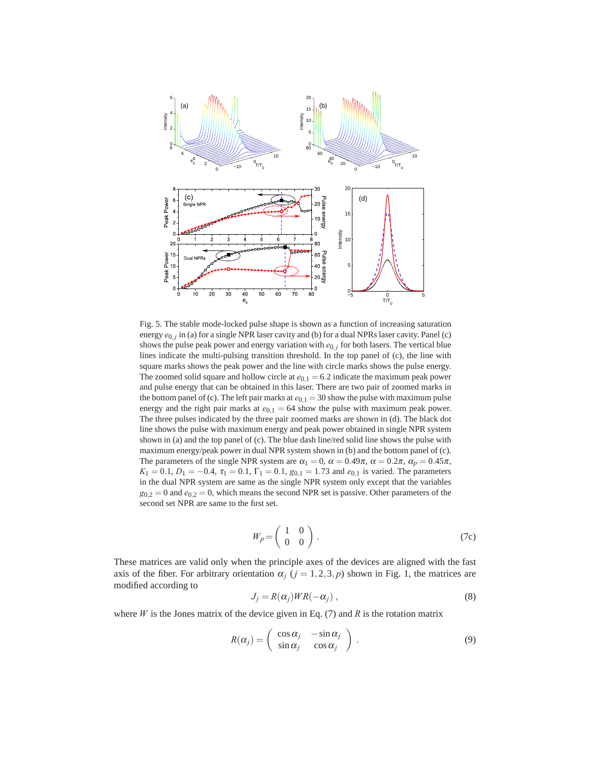

Fig. 5. The stable mode-locked pulse shape is shown as a function of increasing saturation energy *e*0*, <sup>j</sup>* in (a) for a single NPR laser cavity and (b) for a dual NPRs laser cavity. Panel (c) shows the pulse peak power and energy variation with  $e_{0,j}$  for both lasers. The vertical blue lines indicate the multi-pulsing transition threshold. In the top panel of (c), the line with square marks shows the peak power and the line with circle marks shows the pulse energy. The zoomed solid square and hollow circle at  $e_{0,1} = 6.2$  indicate the maximum peak power and pulse energy that can be obtained in this laser. There are two pair of zoomed marks in the bottom panel of (c). The left pair marks at  $e_{0,1} = 30$  show the pulse with maximum pulse energy and the right pair marks at  $e_{0,1} = 64$  show the pulse with maximum peak power. The three pulses indicated by the three pair zoomed marks are shown in (d). The black dot line shows the pulse with maximum energy and peak power obtained in single NPR system shown in (a) and the top panel of (c). The blue dash line/red solid line shows the pulse with maximum energy/peak power in dual NPR system shown in (b) and the bottom panel of (c). The parameters of the single NPR system are  $\alpha_1 = 0$ ,  $\alpha = 0.49\pi$ ,  $\alpha = 0.2\pi$ ,  $\alpha_p = 0.45\pi$ ,  $K_1 = 0.1, D_1 = -0.4, \tau_1 = 0.1, \Gamma_1 = 0.1, g_{0,1} = 1.73$  and  $e_{0,1}$  is varied. The parameters in the dual NPR system are same as the single NPR system only except that the variables  $g_{0,2} = 0$  and  $e_{0,2} = 0$ , which means the second NPR set is passive. Other parameters of the second set NPR are same to the first set.

$$
W_p = \left(\begin{array}{cc} 1 & 0 \\ 0 & 0 \end{array}\right). \tag{7c}
$$

These matrices are valid only when the principle axes of the devices are aligned with the fast axis of the fiber. For arbitrary orientation  $\alpha_j$  ( $j = 1, 2, 3, p$ ) shown in Fig. 1, the matrices are modified according to

$$
J_j = R(\alpha_j)WR(-\alpha_j) \,, \tag{8}
$$

where  $W$  is the Jones matrix of the device given in Eq. (7) and  $R$  is the rotation matrix

$$
R(\alpha_j) = \begin{pmatrix} \cos \alpha_j & -\sin \alpha_j \\ \sin \alpha_j & \cos \alpha_j \end{pmatrix} . \tag{9}
$$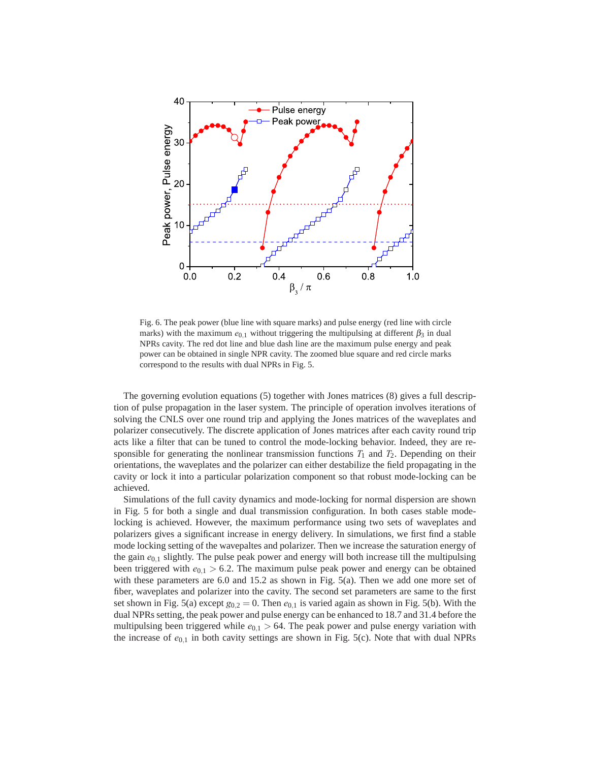

Fig. 6. The peak power (blue line with square marks) and pulse energy (red line with circle marks) with the maximum  $e_{0,1}$  without triggering the multipulsing at different  $\beta_3$  in dual NPRs cavity. The red dot line and blue dash line are the maximum pulse energy and peak power can be obtained in single NPR cavity. The zoomed blue square and red circle marks correspond to the results with dual NPRs in Fig. 5.

The governing evolution equations (5) together with Jones matrices (8) gives a full description of pulse propagation in the laser system. The principle of operation involves iterations of solving the CNLS over one round trip and applying the Jones matrices of the waveplates and polarizer consecutively. The discrete application of Jones matrices after each cavity round trip acts like a filter that can be tuned to control the mode-locking behavior. Indeed, they are responsible for generating the nonlinear transmission functions  $T_1$  and  $T_2$ . Depending on their orientations, the waveplates and the polarizer can either destabilize the field propagating in the cavity or lock it into a particular polarization component so that robust mode-locking can be achieved.

Simulations of the full cavity dynamics and mode-locking for normal dispersion are shown in Fig. 5 for both a single and dual transmission configuration. In both cases stable modelocking is achieved. However, the maximum performance using two sets of waveplates and polarizers gives a significant increase in energy delivery. In simulations, we first find a stable mode locking setting of the wavepaltes and polarizer. Then we increase the saturation energy of the gain *e*0*,*<sup>1</sup> slightly. The pulse peak power and energy will both increase till the multipulsing been triggered with  $e_{0,1} > 6.2$ . The maximum pulse peak power and energy can be obtained with these parameters are 6.0 and 15.2 as shown in Fig. 5(a). Then we add one more set of fiber, waveplates and polarizer into the cavity. The second set parameters are same to the first set shown in Fig. 5(a) except  $g_{0,2} = 0$ . Then  $e_{0,1}$  is varied again as shown in Fig. 5(b). With the dual NPRs setting, the peak power and pulse energy can be enhanced to 18.7 and 31.4 before the multipulsing been triggered while  $e_{0,1} > 64$ . The peak power and pulse energy variation with the increase of  $e_{0,1}$  in both cavity settings are shown in Fig. 5(c). Note that with dual NPRs